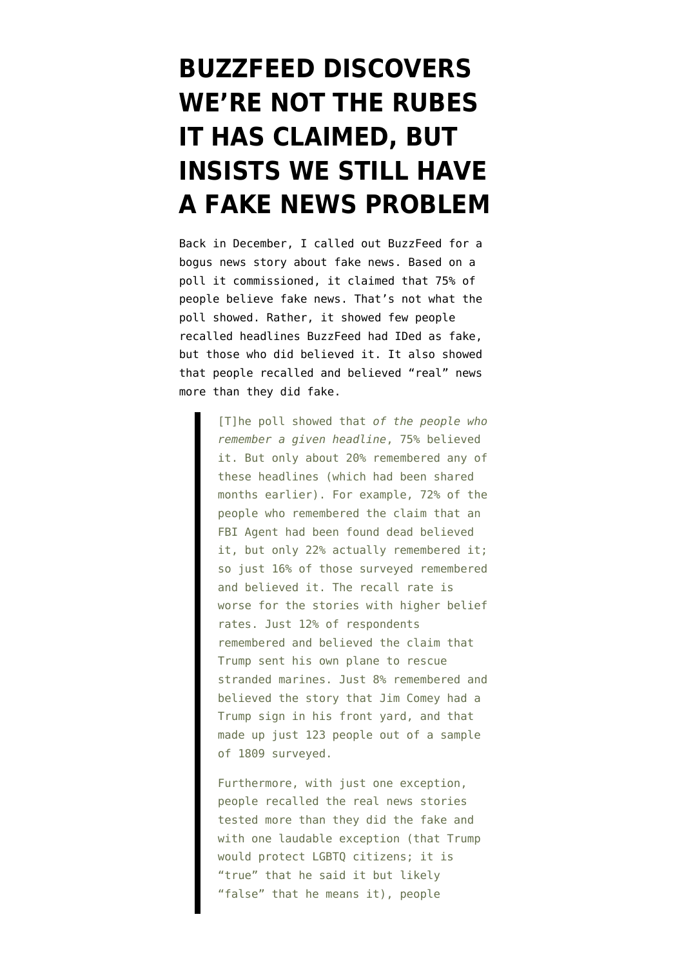## **[BUZZFEED DISCOVERS](https://www.emptywheel.net/2017/01/21/buzzfeed-discovers-were-not-the-rubes-it-has-claimed-but-insists-we-still-have-a-fake-news-problem/) [WE'RE NOT THE RUBES](https://www.emptywheel.net/2017/01/21/buzzfeed-discovers-were-not-the-rubes-it-has-claimed-but-insists-we-still-have-a-fake-news-problem/) [IT HAS CLAIMED, BUT](https://www.emptywheel.net/2017/01/21/buzzfeed-discovers-were-not-the-rubes-it-has-claimed-but-insists-we-still-have-a-fake-news-problem/) [INSISTS WE STILL HAVE](https://www.emptywheel.net/2017/01/21/buzzfeed-discovers-were-not-the-rubes-it-has-claimed-but-insists-we-still-have-a-fake-news-problem/) [A FAKE NEWS PROBLEM](https://www.emptywheel.net/2017/01/21/buzzfeed-discovers-were-not-the-rubes-it-has-claimed-but-insists-we-still-have-a-fake-news-problem/)**

Back in December, I [called out](https://www.emptywheel.net/2016/12/07/bible-still-outperforms-facebook-delivering-fake-news/) BuzzFeed for a bogus news story about fake news. Based on a poll it commissioned, it claimed that 75% of people believe fake news. That's not what the poll showed. Rather, it showed few people recalled headlines BuzzFeed had IDed as fake, but those who did believed it. It also showed that people recalled and believed "real" news more than they did fake.

> [T]he poll showed that *of the people who remember a given headline*, 75% believed it. But only about 20% remembered any of these headlines (which had been shared months earlier). For example, 72% of the people who remembered the claim that an FBI Agent had been found dead believed it, but only 22% actually remembered it; so just 16% of those surveyed remembered and believed it. The recall rate is worse for the stories with higher belief rates. Just 12% of respondents remembered and believed the claim that Trump sent his own plane to rescue stranded marines. Just 8% remembered and believed the story that Jim Comey had a Trump sign in his front yard, and that made up just 123 people out of a sample of 1809 surveyed.

Furthermore, with just one exception, people recalled the real news stories tested more than they did the fake and with one laudable exception (that Trump would protect LGBTQ citizens; it is "true" that he said it but likely "false" that he means it), people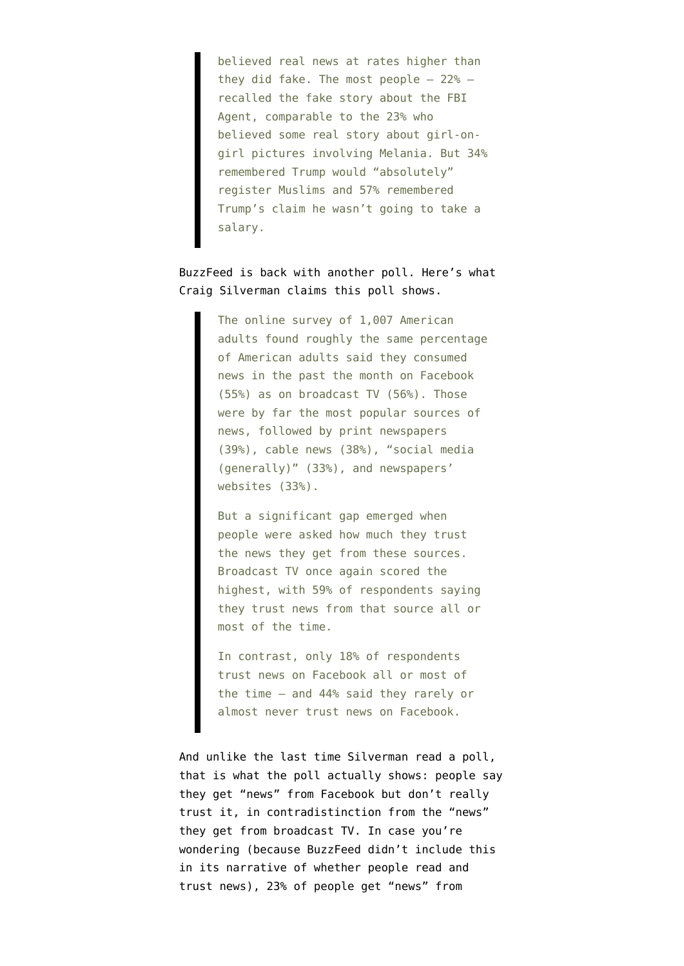believed real news at rates higher than they did fake. The most people  $-22$ %  $$ recalled the fake story about the FBI Agent, comparable to the 23% who believed some real story about girl-ongirl pictures involving Melania. But 34% remembered Trump would "absolutely" register Muslims and 57% remembered Trump's claim he wasn't going to take a salary.

## BuzzFeed is back with another [poll](file:///Users/emptywheel/Downloads/ipsos-toplines.pdf). Here's what Craig Silverman [claims](https://www.buzzfeed.com/craigsilverman/people-be-reading-but-not-trusting-news-on-facebook?) this poll shows.

The online survey of 1,007 American adults found roughly the same percentage of American adults said they consumed news in the past the month on Facebook (55%) as on broadcast TV (56%). Those were by far the most popular sources of news, followed by print newspapers (39%), cable news (38%), "social media (generally)" (33%), and newspapers' websites (33%).

But a significant gap emerged when people were asked how much they trust the news they get from these sources. Broadcast TV once again scored the highest, with 59% of respondents saying they trust news from that source all or most of the time.

In contrast, only 18% of respondents trust news on Facebook all or most of the time — and 44% said they rarely or almost never trust news on Facebook.

And unlike the last time Silverman read a poll, that is what the poll actually shows: people say they get "news" from Facebook but don't really trust it, in contradistinction from the "news" they get from broadcast TV. In case you're wondering (because BuzzFeed didn't include this in its narrative of whether people read and trust news), 23% of people get "news" from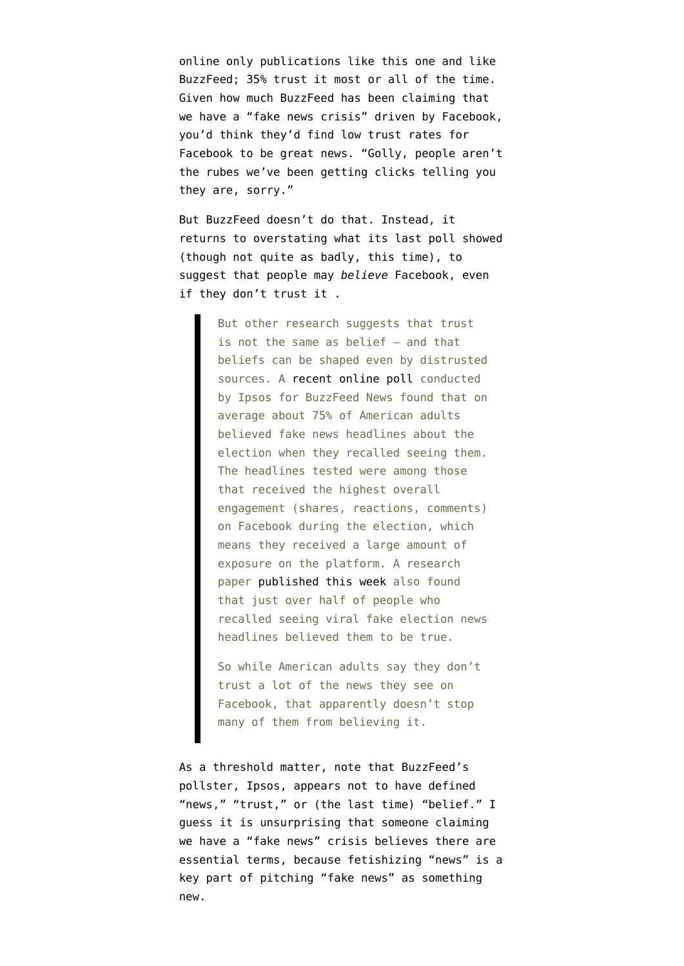online only publications like this one and like BuzzFeed; 35% trust it most or all of the time. Given how much BuzzFeed has been claiming that we have a "fake news crisis" driven by Facebook, you'd think they'd find low trust rates for Facebook to be great news. "Golly, people aren't the rubes we've been getting clicks telling you they are, sorry."

But BuzzFeed doesn't do that. Instead, it returns to overstating what its last poll showed (though not quite as badly, this time), to suggest that people may *believe* Facebook, even if they don't trust it .

> But other research suggests that trust is not the same as belief — and that beliefs can be shaped even by distrusted sources. A [recent online poll](https://www.buzzfeed.com/craigsilverman/fake-news-survey) conducted by Ipsos for BuzzFeed News found that on average about 75% of American adults believed fake news headlines about the election when they recalled seeing them. The headlines tested were among those that received the highest overall engagement (shares, reactions, comments) on Facebook during the election, which means they received a large amount of exposure on the platform. A research paper [published this week](http://web.stanford.edu/~gentzkow/research/fakenews.pdf) also found that just over half of people who recalled seeing viral fake election news headlines believed them to be true.

So while American adults say they don't trust a lot of the news they see on Facebook, that apparently doesn't stop many of them from believing it.

As a threshold matter, note that BuzzFeed's pollster, Ipsos, appears not to have defined "news," "trust," or (the last time) "belief." I guess it is unsurprising that someone claiming we have a "fake news" crisis believes there are essential terms, because [fetishizing "news"](https://www.emptywheel.net/2017/01/15/on-fake-news/) is a key part of pitching "fake news" as something new.